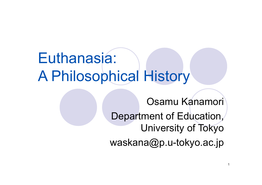#### Euthanasia: A Philosophical Hist s tory

Osamu Kanamori Department of Education, University of Tokyo waskana@p.u-tokyo.ac.jp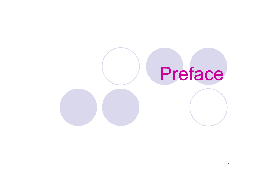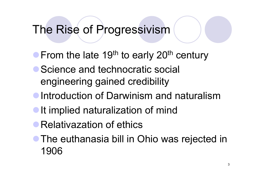#### The Rise of Progressivism

- $\bullet$ From the late 19<sup>th</sup> to early 20<sup>th</sup> <sup>th</sup> to early 20<sup>t</sup> century
- Science and technocratic social engineering gained credibility
- **Introduction of Darwinism and naturalism**
- **It implied naturalization of mind**
- **Relativazation of ethics**
- The euthanasia bill in Ohio was rejected in 1906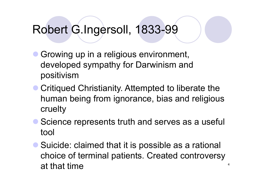#### Robert G.Ingersoll, 1833-99

- $\bullet$  Growing up in a religious environment, developed sympathy for Darwinism and positivism
- Critiqued Christianity. Attempted to liberate the human being from ignorance, bias and religious cruelt y
- Science represents truth and serves as a useful tool
- Suicide: claimed that it is possible as a rational choice of terminal patients. Created controversy<br>at that time

4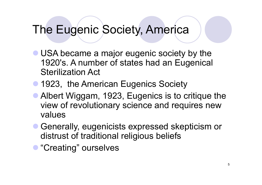#### The Eugenic Society, America

- USA became a major eugenic society by the 1920's. A number of states had an Eugenical Sterilization Act
- 1923, the American Eugenics Society
- Albert Wiggam, 1923, Eugenics is to critique the view of revolutionary science and requires new values
- Generally, eugenicists expressed skepticism or distrust of traditional religious beliefs
- **"Creating" ourselves**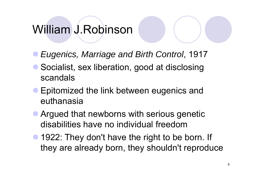## William J Robinson J.Robinson

- $\bullet$ *Eugenics, Marriage and Birth Control*, 1917
- $\bullet$ • Socialist, sex liberation, good at disclosing scandals
- $\bullet$ Epitomized the link between eugenics and euthanasia
- Argued that newborns with serious genetic disabilities have no individual freedom
- 1922: They don't have the right to be born. If they are already born, they shouldn't reproduce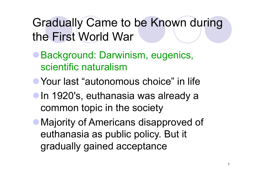Gradually Came to be Known during the First World War

- **Background: Darwinism, eugenics,** scientific naturalism
- **Your last "autonomous choice" in life**
- **In 1920's, euthanasia was already a** common topic in the society
- Majority of Americans disapproved of euthanasia as public policy. But it gradually gained acceptance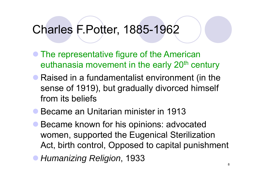#### Charles F.Potter, 1885-1962

- The representative figure of the American euthanasia movement in the early 20<sup>th</sup> century
- Raised in a fundamentalist environment (in the sense of 1919), but gradually divorced himself from its beliefs
- **Became an Unitarian minister in 1913**
- $\bullet$  Became known for his opinions: advocated women, supported the Eugenical Sterilization Act, birth control, Opposed to capital punishment
- **Humanizing Religion, 1933**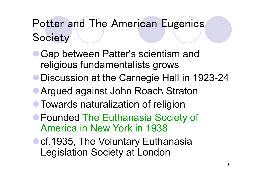# Potter and The American Eugenics **Society**

- Gap between Patter's scientism and religious fundamentalists grows
- Discussion at the Carnegie Hall in 1923-24
- **Argued against John Roach Straton**
- **Towards naturalization of religion**
- **Founded The Euthanasia Society of** America in New York in 1938
- Ocf.1935, The Voluntary Euthanasia Legislation Society at London Society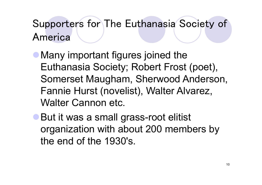#### Supporters for The Euthanasia Society of America

- Many important figures joined the Euthanasia Society; Robert Frost (poet), Somerset Maugham, Sherwood Anderson, Fannie Hurst (novelist), Walter Alvarez, Walter Cannon etc.
- But it was a small grass-root elitist organization with about 200 members by the end of the 1930's.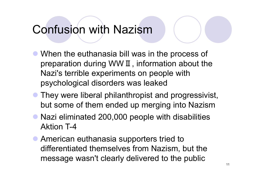#### Confusion with Nazism

- When the euthanasia bill was in the process of preparation during WW Ⅱ, information about the Nazi's terrible experiments on people with psychological disorders was leaked
- They were liberal philanthropist and progressivist, but some of them ended up merging into Nazism
- Nazi eliminated 200,000 people with disabilities Aktion T-4
- **American euthanasia supporters tried to** differentiated themselves from Nazism, but the message wasn't clearly delivered to the public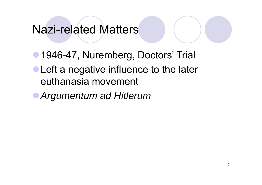#### Nazi-related Matters

• 1946-47, Nuremberg, Doctors' Trial  $\bullet$  Left a negative influence to the later euthanasia movement

<sup>z</sup>*A t d Hitl Argumentum ad Hitlerum*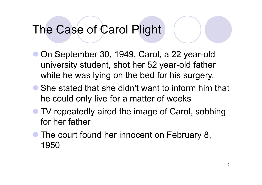#### The Case of Carol Plight

- On September 30, 1949, Carol, a 22 year-old university student, shot her 52 year-old father while he was lying on the bed for his surgery.
- She stated that she didn't want to inform him that he could only live for a matter of weeks
- **TV repeatedly aired the image of Carol, sobbing** for her father
- $\bullet$ **• The court found her innocent on February 8,** 1950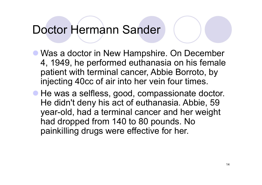#### Doctor Hermann Sander

- Was a doctor in New Hampshire. On December 4, 1949, he performed euthanasia on his female patient with terminal cancer, Abbie Borroto, by injecting 40cc of air into her vein four times.
- He was a selfless, good, compassionate doctor. He didn't deny his act of euthanasia. Abbie, 59 year-old, had a terminal cancer and her weight had dropped from 140 to 80 pounds. No painkilling drugs were effective for her.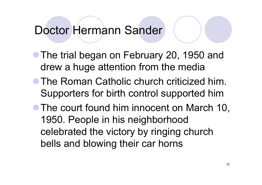#### Doctor Hermann Sander

- The trial began on February 20, 1950 and drew a hu ge attention from the media
- **The Roman Catholic church criticized him.** Supporters for birth control supported him
- The court found him innocent on March 10, 1950. People in his neighborhood celebrated the victory by ringing church bells and blowing their car horns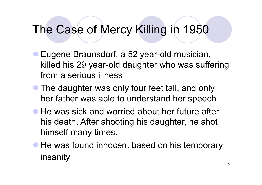### The Case of Mercy Killing in 1950

- Eugene Braunsdorf, a 52 year-old musician, killed his 29 year-old daughter who was suffering from a serious illness
- The daughter was only four feet tall, and only her father was able to understand her speech
- $\bullet$  He was sick and worried about her future after his death. After shooting his daughter, he shot himself many times.
- He was found innocent based on his temporary insanity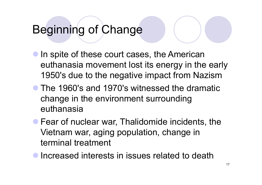# Beginning of Change

- **In spite of these court cases, the American** euthanasia movement lost its energy in the early 1950's due to the negative impact from Nazism
- The 1960's and 1970's witnessed the dramatic change in the environment surrounding euthanasia
- Fear of nuclear war, Thalidomide incidents, the Vietnam war, aging population, change in terminal treatment
- $\bullet$  Increased interests in issues related to death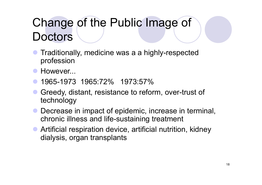# Change of the Public Image of **Doctors**

- $\bullet$ • Traditionally, medicine was a a highly-respected profession
- $\bullet$ However...
- $\bullet$ 1965-1973 1965:72% 1973:57%
- Greedy, distant, resistance to reform, over-trust of technology
- $\bullet$  Decrease in impact of epidemic, increase in terminal, chronic illness and life-sustaining treatment
- Artificial respiration device, artificial nutrition, kidney dialysis, organ transplants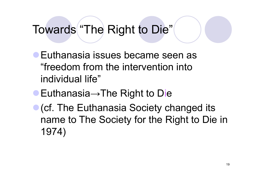Towards "The Right to Die"

- **Euthanasia issues became seen as** "freedom from the intervention into individual life"
- $\bullet$  Euthanasia $\rightarrow$ The Right to Die
- **(cf. The Euthanasia Society changed its** name to The Society for the Right to Die in 1974)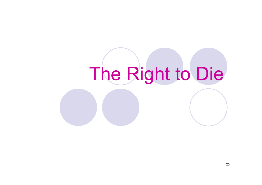# The Right to Die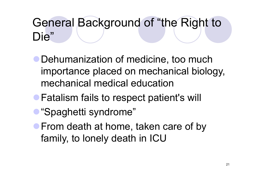# General Background of "the Right to Die"

- Dehumanization of medicine, too much importance placed on mechanical biology, mechanical medical education
- **Fatalism fails to respect patient's will**
- "Spaghetti syndrome"
- **From death at home, taken care of by** family, to lonely death in ICU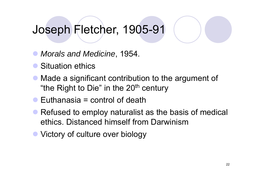#### Joseph Fletcher, 1905-91

- $\bullet$ *Morals and Medicine*, 1954.
- Situation ethics
- Made a significant contribution to the argument of "the Right to Die" in the  $20<sup>th</sup>$  century
- $\bullet$  Euthanasia = control of death
- $\bullet$  Refused to employ naturalist as the basis of medical ethics. Distanced himself from Darwinism
- Victory of culture over biology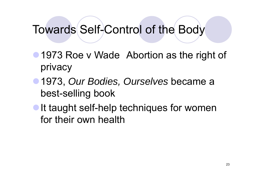#### Towards Self-Control of the Body

- 1973 Roe v Wade Abortion as the right of privacy
- <sup>z</sup>1973, *Our Bodies, Ourselves* became a best-selling book
- If taught self-help techniques for women for their own health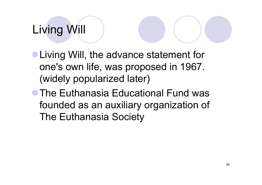# Living Will

- **Living Will, the advance statement for** one's own life, was proposed in 1967. (widely popularized later)
- **The Euthanasia Educational Fund was** founded as an auxiliary organization of The Euthanasia Society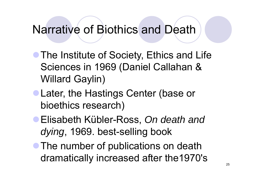#### Narrative of Biothics and Death

- **The Institute of Society, Ethics and Life** Sciences in 1969 (Daniel Callahan & Willard Gaylin)
- Later, the Hastings Center (base or bioethics research)
- <sup>z</sup>Elisabeth Kübler-Ross, *On death and dying*, 1969. best-selling book
- The number of publications on death dramatically increased after the1970's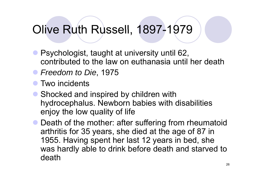#### Olive Ruth Russell, 1897-1979

- Psychologist, taught at university until 62, contributed to the law on euthanasia until her death
- z *Freedom to Die* , 1975
- $\bullet$ Two incidents
- Shocked and inspired by children with hydrocephalus. Newborn babies with disabilities enjoy the low quality of life
- Death of the mother: after suffering from rheumatoid arthritis for 35 years, she died at the age of 87 in 1955. Having spent her last 12 years in bed, she was hardly able to drink before death and starved to death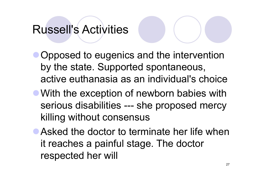### **Russell's Activities**

- Opposed to eugenics and the intervention by the state. Supported spontaneous, active euthanasia as an individual's choice
- With the exception of newborn babies with serious disabilities --- she proposed mercy killing without consensus
- $\bullet$  Asked the doctor to terminate her life when it reaches a painful stage. The doctor respected her will respected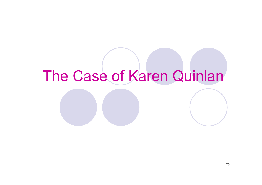# The Case of Karen Quinlan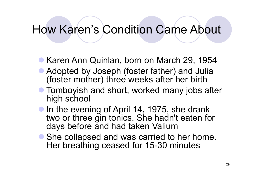#### How Karen's Condition Came About

- Karen Ann Quinlan, born on March 29, 1954
- Adopted by Joseph (foster father) and Julia (foster mother) three weeks after her birth
- **Tomboyish and short, worked many jobs after** high school
- In the evening of April 14, 1975, she drank two or three gin tonics. She hadn't eaten for days before and had taken Valium
- She collapsed and was carried to her home. Her breathing ceased for 15-30 minutes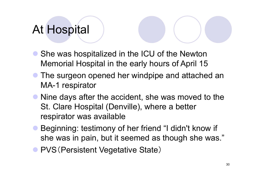## At Hospital

- She was hospitalized in the ICU of the Newton Memorial Hospital in the early hours of April 15
- $\bullet$  The surgeon opened her windpipe and attached an MA-1 respirator
- Nine days after the accident, she was moved to the St. Clare Hospital (Denville), where a better respirator was available
- **Beginning: testimony of her friend "I didn't know if** she was in pain, but it seemed as though she was."
- **PVS (Persistent Vegetative State)**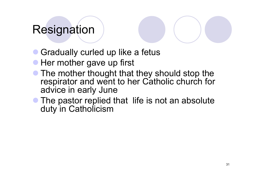#### **Resignation**

- Gradually curled up like a fetus
- **Her mother gave up first**
- The mother thought that they should stop the respirator and went to her Catholic church for advice in early June
- $\bullet$  The pastor replied that life is not an absolute duty in Catholicism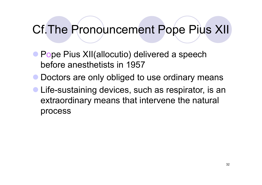#### Cf. The Pronouncement Pope Pius XII

- **Pope Pius XII(allocutio) delivered a speech** before anesthetists in 1957
- $\bullet$  Doctors are only obliged to use ordinary means
- **Life-sustaining devices, such as respirator, is an** extraordinary means that intervene the natural process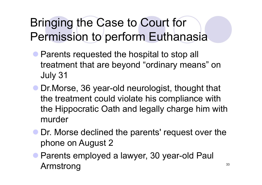# Bringing the Case to Court for Permission to perform Euthanasia

- Parents requested the hospital to stop all treatment that are beyond "ordinary means" on July 31
- Dr. Morse, 36 year-old neurologist, thought that the treatment could violate his compliance with the Hippocratic Oath and legally charge him with murder
- Dr. Morse declined the parents' request over the phone on August 2
- Parents employed a lawyer, 30 year-old Paul Armstrong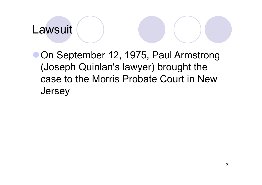#### Lawsuit

**• On September 12, 1975, Paul Armstrong** (Joseph Quinlan's lawyer) brought the case to the Morris Probate Court in New **Jersey**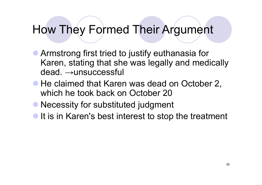#### How They Formed Their Argument

- Armstrong first tried to justify euthanasia for Karen, stating that she was legally and medically dead. <sup>→</sup>unsuccessful
- He claimed that Karen was dead on October 2, which he took back on October 20
- **Necessity for substituted judgment**
- It is in Karen's best interest to stop the treatment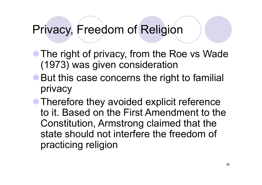#### Privacy, Freedom of Religion

- The right of privacy, from the Roe vs Wade (1973) was given consideration
- But this case concerns the right to familial privacy

• Therefore they avoided explicit reference to it. Based on the First Amendment to the Constitution, Armstrong claimed that the state should not interfere the freedom of practicing religion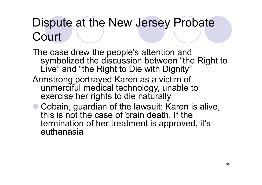# Dispute at the New Jersey Probate Court

The case drew the people's attention and symbolized the discussion between "the Right to Live " and "the Right to Die with Dignity" Armstrong portrayed Karen as a victim of unmerciful medical technology, unable to exercise her rights to die naturally

• Cobain, guardian of the lawsuit: Karen is alive, this is not the case of brain death. If the termination of her treatment is approved, it's euthanasia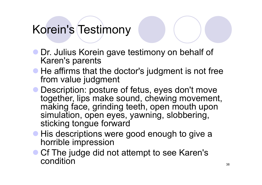# Korein's Testimony

- Dr. Julius Korein gave testimony on behalf of Karen's parents
- He affirms that the doctor's judgment is not free from value judgment
- Description: posture of fetus, eyes don't move together, lips make sound, chewing movement, making face, grinding teeth, open mouth upon simulation, open eyes, yawning, slobbering, sticking tongue forward
- **His descriptions were good enough to give a** horrible impression
- Cf The judge did not attempt to see Karen's<br>condition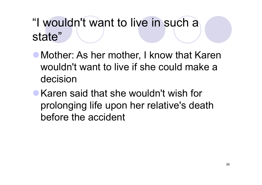# "I wouldn't want to live in such a state"

- Mother: As her mother, I know that Karen wouldn't want to live if she could make a decision
- Karen said that she wouldn't wish for prolonging life upon her relative's death before the accident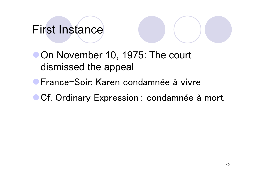# First Instance

• On November 10, 1975: The court dismissed the appeal

**• France-Soir: Karen condamnée à vivre** 

**Cf. Ordinary Expression: condamnée à mort**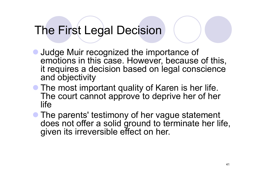# The First Legal Decision

- Judge Muir recognized the importance of emotions in this case. However, because of this, it requires <sup>a</sup> decision based on legal conscience and objectivity
- The most important quality of Karen is her life. The court cannot approve to deprive her of her life
- The parents' testimony of her vague statement does not offer a solid ground to terminate her life, given its irreversible effect on her.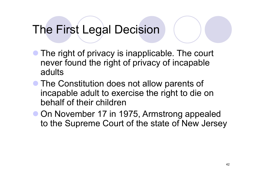# The First Legal Decision

- $\bullet$ • The right of privacy is inapplicable. The court never found the right of privacy of incapable adults
- The Constitution does not allow parents of incapable adult to exercise the right to die on behalf of their children
- **On November 17 in 1975, Armstrong appealed** to the Supreme Court of the state of New Jersey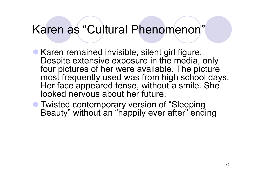#### Karen as "Cultural Phenomenon"

- Karen remained invisible, silent girl figure. Despite extensive exposure in the media, only four pictures of her were available. The picture most frequently used was from high school days. Her face appeared tense, without a smile. She looked nervous about her future.
- **Twisted contemporary version of "Sleeping** Beauty" without an "happily ever after" ending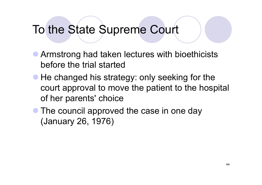### To the State Supreme Court

- **Armstrong had taken lectures with bioethicists** before the trial started
- He changed his strategy: only seeking for the court approval to move the patient to the hospital of her parents' choice
- The council approved the case in one day (January 26, 1976)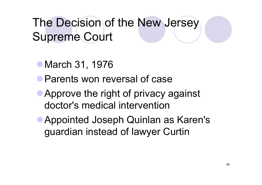The Decision of the New Jersey Supreme Court

- March 31, 1976
- **Parents won reversal of case**
- Approve the right of privacy against doctor's medical intervention
- **Appointed Joseph Quinlan as Karen's** guardian instead of lawyer Curtin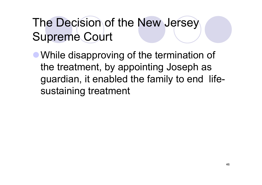# The Decision of the New Jersey Supreme Court

• While disapproving of the termination of the treatment, by appointing Joseph as guardian, it enabled the family to end lifesustaining treatment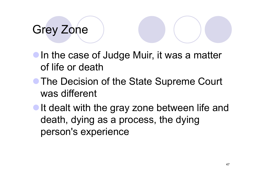# Grey Zone

- **In the case of Judge Muir, it was a matter** of life or death
- The Decision of the State Supreme Court was different
- It dealt with the gray zone between life and death, dying as a process, the dying person's experience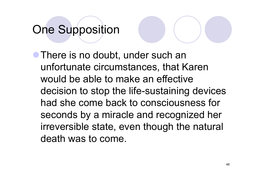# One Supposition

**• There is no doubt, under such an** unfortunate circumstances, that Karen would be able to make an effective decision to stop the life-sustaining devices had she come back to consciousness for seconds by a miracle and recognized her irreversible state, even though the natural death was to come.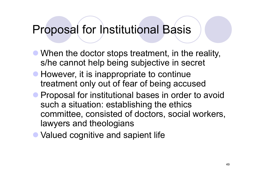#### **Proposal for Institutional Basis**

- When the doctor stops treatment, in the reality, s/he cannot help being subjective in secret
- However, it is inappropriate to continue treatment only out of fear of being accused
- Proposal for institutional bases in order to avoid such a situation: establishing the ethics committee, consisted of doctors, social workers, lawyers and theologians
- Valued cognitive and sapient life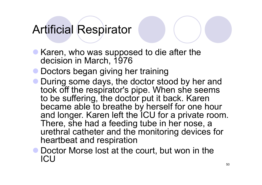# **Artificial Respirator**

- Karen, who was supposed to die after the decision in March, 1976
- **Doctors began giving her training**
- During some days, the doctor stood by her and took off the respirator's pipe. When she seems to be suffering, the doctor put it back. Karen became able to breathe by herself for one hour and longer. Karen left the ICU for a private room. There, she had a feeding tube in her nose, a urethral catheter and the monitoring devices for heartbeat and respiration
- Doctor Morse lost at the court, but won in the ICU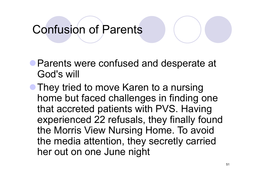# Confusion of Parents

- **Parents were confused and desperate at** God's will
- **They tried to move Karen to a nursing** home but faced challenges in finding one that accreted patients with PVS. Having experienced 22 refusals, they finally found the Morris View Nursin g Home. To avoid the media attention, they secretly carried her out on one June ni ght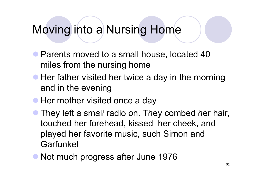### Moving into a Nursing Home

- Parents moved to a small house, located 40 miles from the nursing home
- Her father visited her twice a day in the morning and in the evenin g
- **Her mother visited once a day**
- $\bullet$ • They left a small radio on. They combed her hair, touched her forehead, kissed her cheek, and played her favorite music, such Simon and Garfunkel
- Not much progress after June 1976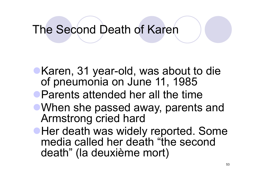#### The Second Death of Karen

- Karen, 31 year-old, was about to die of pneumonia on June 11, 1985
- $\bullet$  Parents attended her all the time
- When she passed away, parents and Armstrong cried hard
- **Her death was widely reported. Some** media called her death "the second death " (la deuxième mort)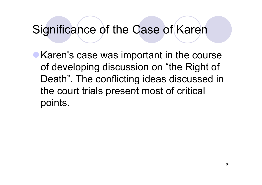### Significance of the Case of Karen

• Karen's case was important in the course of developing discussion on "the Right of Death". The conflicting ideas discussed in the court trials present most of critical points.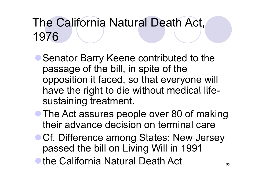# The California Natural Death Act, 1976

- Genator Barry Keene contributed to the passage of the bill, in spite of the opposition it faced, so that everyone will have the right to die without medical life sustaining treatment.
- The Act assures people over 80 of making their advance decision on terminal care
- Cf. Difference among States: New Jersey passed the bill on Living Will in 1991
- $\bullet$  the California Natural Death Act  $\bullet$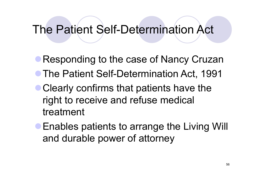### The Patient Self-Determination Act

- Responding to the case of Nancy Cruzan • The Patient Self-Determination Act, 1991
- Clearly confirms that patients have the right to receive and refuse medical treatment
- **Enables patients to arrange the Living Will** and durable power of attorney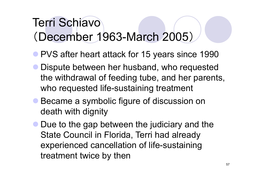# Terri Schiavo(December 1963-March 2005)

- **PVS after heart attack for 15 years since 1990**
- $\bullet$ Dispute between her husband, who requested the withdrawal of feeding tube, and her parents, who requested life-sustaining treatment
- $\bullet$  Became a symbolic figure of discussion on death with dignity
- $\bullet$  Due to the gap between the judiciary and the State Council in Florida, Terri had already experienced cancellation of life-sustaining treatment twice by then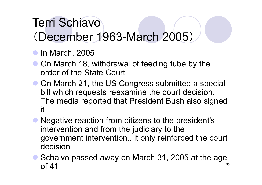# Terri Schiavo (December 1963-March 2005)

- $\bullet$  In March, 2005
- On March 18, withdrawal of feeding tube by the order of the State Court
- On March 21, the US Congress submitted a special bill which requests reexamine the court decision. The media reported that President Bush also signed it
- Negative reaction from citizens to the president's intervention and from the judiciary to the government intervention...it only reinforced the court decision
- Schaivo passed away on March 31, 2005 at the age 58of 41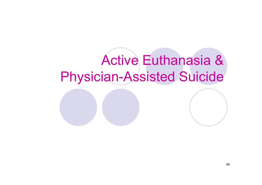# Active Euthanasia & Physician-Assisted Suicide

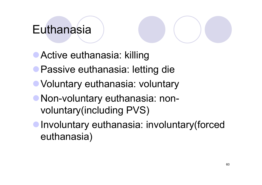### Euthanasia

**Active euthanasia: killing** 

- **Passive euthanasia: letting die**
- **Voluntary euthanasia: voluntary**
- Non-voluntary euthanasia: nonvoluntary(including PVS)

**• Involuntary euthanasia: involuntary(forced** euthanasia)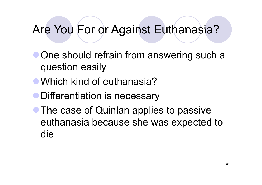## Are You For or Against Euthanasia?

- **One should refrain from answering such a** question easily
- Which kind of euthanasia?
- **Differentiation is necessary**
- The case of Quinlan applies to passive euthanasia because she was expected to die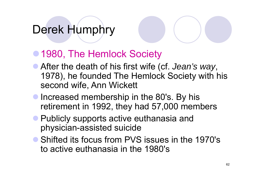# Derek Humphry

#### ● 1980, The Hemlock Society

- **After the death of his first wife (cf.** *Jean's way***,** 1978), he founded The Hemlock Society with his second wife, Ann Wickett
- **Increased membership in the 80's. By his** retirement in 1992, they had 57,000 members
- **Publicly supports active euthanasia and** physician-assisted suicide
- Shifted its focus from PVS issues in the 1970's to active euthanasia in the 1980's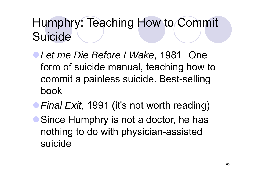# Humphry: Teaching How to Commit Suicide

- <sup>z</sup>*Let me Die Before I Wake*, 1981 One form of suicide manual, teaching how to commit a painless suicide. Best-selling book
- **Final Exit, 1991 (it's not worth reading)**
- Since Humphry is not a doctor, he has nothing to do with physician -assisted assisted suicide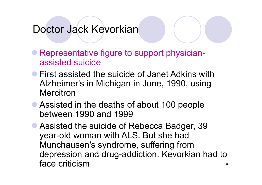#### Doctor Jack Kevorkian

- Representative figure to support physicianassisted suicide
- **First assisted the suicide of Janet Adkins with** Alzheimer's in Michigan in June, 1990, using **Mercitron**
- Assisted in the deaths of about 100 people between 1990 and 1999
- Assisted the suicide of Rebecca Badger, 39 year-old woman with ALS. But she had Munchausen's syndrome, suffering from depression and drug-addiction. Kevorkian had to<br>face criticism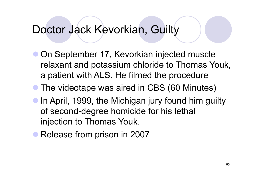#### Doctor Jack Kevorkian, Guilty

- **On September 17, Kevorkian injected muscle** relaxant and potassium chloride to Thomas Youk, a patient with ALS. He filmed the procedure
- $\bullet$ • The videotape was aired in CBS (60 Minutes)
- $\bullet$  In April, 1999, the Michigan jury found him guilty of second-degree homicide for his lethal injection to Thomas Youk.
- Release from prison in 2007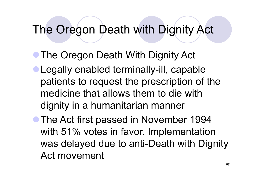- The Oregon Death With Dignity Act
- $\bullet$  Legally enabled terminally-ill, capable patients to request the prescription of the medicine that allows them to die with dignity in a humanitarian manner
- The Act first passed in November 1994 with 51% votes in favor. Implementation was delayed due to anti-Death with Dignity Act movement Act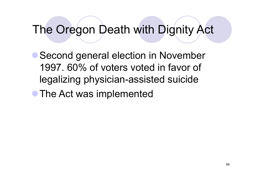• Second general election in November 1997. 60% of voters voted in favor of legalizing physician-assisted suicide • The Act was implemented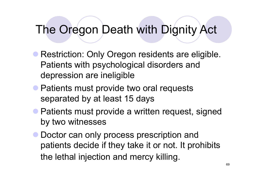- Restriction: Only Oregon residents are eligible. Patients with psychological disorders and depression are ineligible
- Patients must provide two oral requests separated by at least 15 days
- Patients must provide a written request, signed by two witnesses
- $\bullet$  Doctor can only process prescription and patients decide if they take it or not. It prohibits the lethal injection and mercy killing.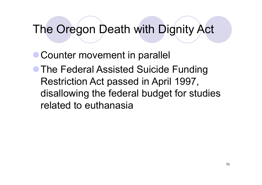• Counter movement in parallel **• The Federal Assisted Suicide Funding** Restriction Act passed in April 1997, disallowing the federal budget for studies related to euthanasia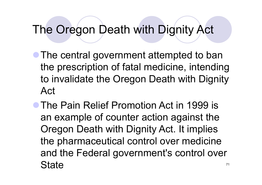- The central government attempted to ban the prescription of fatal medicine, intending to invalidate the Oregon Death with Dignity Act
- The Pain Relief Promotion Act in 1999 is an example o f counter action against the Oregon Death with Dignity Act. It implies the pharmaceutical control over medicine and the Federal government's control over **State**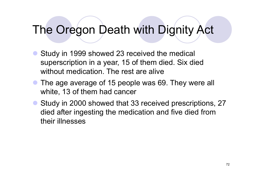- $\bullet$  Study in 1999 showed 23 received the medical superscription in a year, 15 of them died. Six died without medication. The rest are alive
- The age average of 15 people was 69. They were all white, 13 of them had cancer
- Study in 2000 showed that 33 received prescriptions, 27 died after ingesting the medication and five died from their illnesses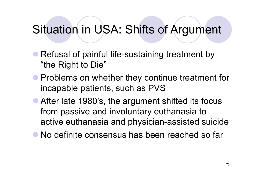### Situation in USA: Shifts of Argument

- Refusal of painful life-sustaining treatment by "the Right to Die"
- **Problems on whether they continue treatment for** incapable patients, such as PVS
- After late 1980's, the argument shifted its focus from passive and involuntary euthanasia to active euthanasia and physician-assisted suicide
- No definite consensus has been reached so far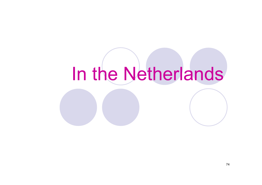### In the Netherlands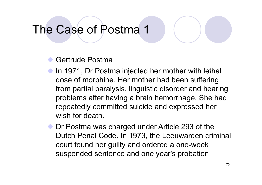### The Case of Postma 1

 $\bullet$ Gertrude Postma

- $\bullet$ In 1971, Dr Postma injected her mother with lethal dose of morphine. Her mother had been suffering from partial paralysis, linguistic disorder and hearing problems after having a brain hemorrhage. She had repeatedly committed suicide and expressed her wish for death.
- $\bullet$  Dr Postma was charged under Article 293 of the Dutch Penal Code. In 1973, the Leeuwarden criminal court found her guilty and ordered a one-week suspended sentence and one year's probation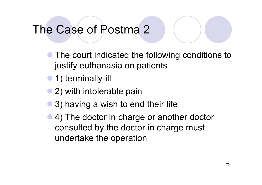### The Case of Postma 2

- $\bullet$  The court indicated the following conditions to justify euthanasia on patients
- 1) terminally-ill
- 2) with intolerable pain
- $\bullet$ 3) having a wish to end their life
- $\bullet$  4) The doctor in charge or another doctor consulted by the doctor in charge must undertake the operation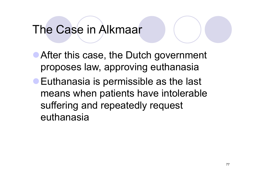### The Case in Alkmaar

• After this case, the Dutch government proposes law, approving euthanasia **Euthanasia is permissible as the last** means when patients have intolerable suffering and repeatedly request euthanasia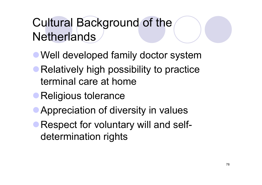### Cultural Background of the Netherlands

- Well developed family doctor system
- Relatively high possibility to practice terminal care at home
- **Religious tolerance**
- Appreciation of diversity in values
- Respect for voluntary will and selfdetermination rights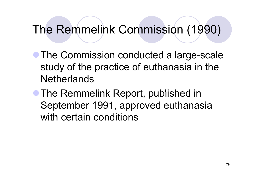### The Remmelink Commission (1990)

• The Commission conducted a large-scale study of the practice of euthanasia in the **Netherlands** 

• The Remmelink Report, published in September 1991, approved euthanasia with certain conditions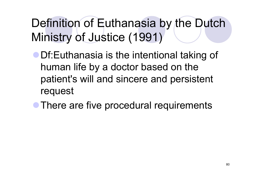Definition of Euthanasia by the Dutch Ministry of Justice (1991)

- **Df:Euthanasia is the intentional taking of** human life b y a doctor based on the patient's will and sincere and persistent request
- There are five procedural requirements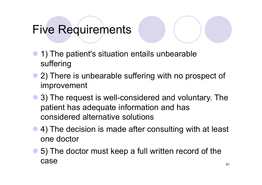### **Five Requirements**

- $\bullet$  1) The patient's situation entails unbearable suffering
- 2) There is unbearable suffering with no prospect of improvement
- 3) The request is well-considered and voluntary. The patient has adequate information and has considered alternative solutions
- 4) The decision is made after consulting with at least one doctor
- 5) The doctor must keep a full written record of the case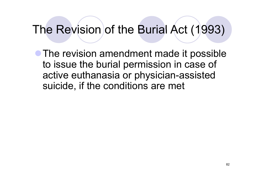### The Revision of the Burial Act (1993)

• The revision amendment made it possible to issue the burial permission in case of active euthanasia or physician-assisted suicide, if the conditions are met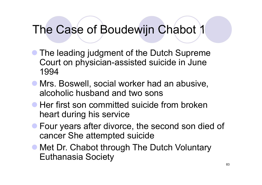### The Case of Boudewijn Chabot 1

- The leading judgment of the Dutch Supreme Court on physician-assisted suicide in June 1994
- **Mrs. Boswell, social worker had an abusive,** alcoholic husband and two sons
- **Her first son committed suicide from broken** heart during his service
- **Four years after divorce, the second son died of** cancer She attempted suicide
- Met Dr. Chabot through The Dutch Voluntary Euthanasia Society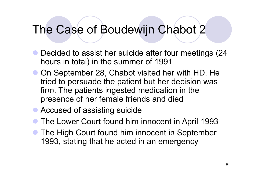### The Case of Boudewijn Chabot 2

- Decided to assist her suicide after four meetings (24 hours in total) in the summer of 1991
- On September 28, Chabot visited her with HD. He tried to persuade the patient but her decision was firm. The patients ingested medication in the presence of her female friends and died
- **Accused of assisting suicide**
- $\bullet$ The Lower Court found him innocent in April 1993
- $\bullet$  The High Court found him innocent in September 1993, stating that he acted in an emergency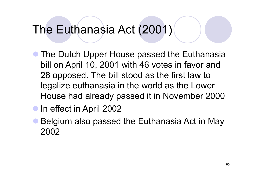### The Euthanasia Act (2001)

- The Dutch Upper House passed the Euthanasia bill on April 10, 2001 with 46 votes in favor and 28 opposed. The bill stood as the first law to legalize euthanasia in the world as the Lower House had already passed it in November 2000
- **In effect in April 2002**
- $\bullet$  Belgium also passed the Euthanasia Act in May 2002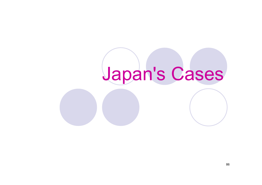## Japan's Cases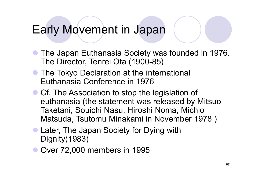### Early Movement in Japan

- The Japan Euthanasia Society was founded in 1976. The Director, Tenrei Ota (1900-85)
- **The Tokyo Declaration at the International** Euthanasia Conference in 1976
- Cf. The Association to stop the legislation of euthanasia (the statement was released by Mitsuo Taketani, Souichi Nasu, Hiroshi Noma, Michio Matsuda, Tsutomu Minakami in November 1978 )
- Later, The Japan Society for Dying with Dignity(1983)
- Over 72,000 members in 1995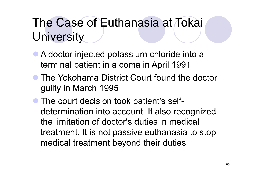### The Case of Euthanasia at Tokai **University**

- A doctor injected potassium chloride into a terminal patient in a coma in April 1991
- The Yokohama District Court found the doctor guilty in March 1995
- The court decision took patient's selfdetermination into account. It also recognized the limitation of doctor's duties in medical treatment. It is not passive euthanasia to stop medical treatment beyond their duties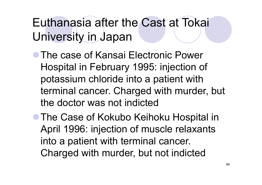Euthanasia after the Cast at Tokai University in Japan

- **The case of Kansai Electronic Power** Hospital in February 1995: injection of potassium chloride into a patient with terminal cancer. Charged with murder, but the doctor was not indicted
- **The Case of Kokubo Keihoku Hospital in** April 1996: injection of muscle relaxants into a patient with terminal cancer. Charged with murder, but not indicted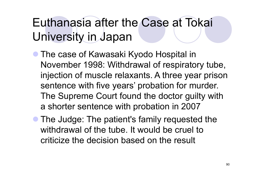### Euthanasia after the Case at Tokai University in Japan

- The case of Kawasaki Kyodo Hospital in November 1998: Withdrawal of respiratory tube, injection of muscle relaxants. A three year prison sentence with five years' probation for murder. The Supreme Court found the doctor guilty with a shorter sentence with probation in 2007
- The Judge: The patient's family requested the withdrawal of the tube. It would be cruel to criticize the decision based on the result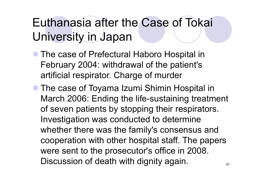### Euthanasia after the Case of Tokai University in Japan

- The case of Prefectural Haboro Hospital in February 2004: withdrawal of the patient's artificial respirator. Charge of murde r
- The case of Toyama Izumi Shimin Hospital in March 2006: Ending the life-sustaining treatment of seven patients by stopping their respirators. Investigation was conducted to determine whether there was the famil y's consensus and cooperation with other hospital staff. The papers were sent to the prosecutor's office in 2008. Discussion of death with dignity again.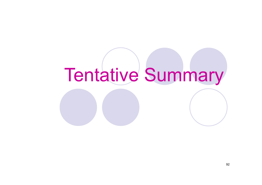# Tentative Summary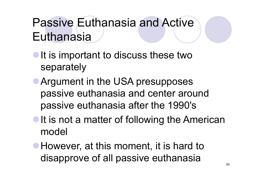### Passive Euthanasia and Active **Euthanasia**

- $\bullet$  It is important to discuss these two separately
- **Argument in the USA presupposes** passive euthanasia and center around passive euthanasia after the 1990's
- $\bullet$  It is not a matter of following the American model
- **However, at this moment, it is hard to** disapprove of all passive euthanasia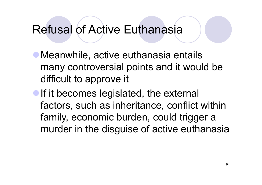### **Refusal of Active Euthanasia**

- Meanwhile, active euthanasia entails many controversial points and it would be difficult to approve it
- If it becomes legislated, the external factors, such as inheritance, conflict within family, economic burden, could trigger a murder in the dis guise of active euthanasia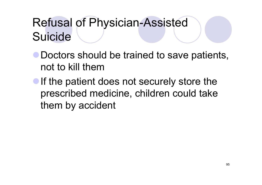### Refusal of Physician-Assisted Suicide

- Doctors should be trained to save patients, not to kill them
- $\bullet$  If the patient does not securely store the prescribed medicine, children could take them by accident